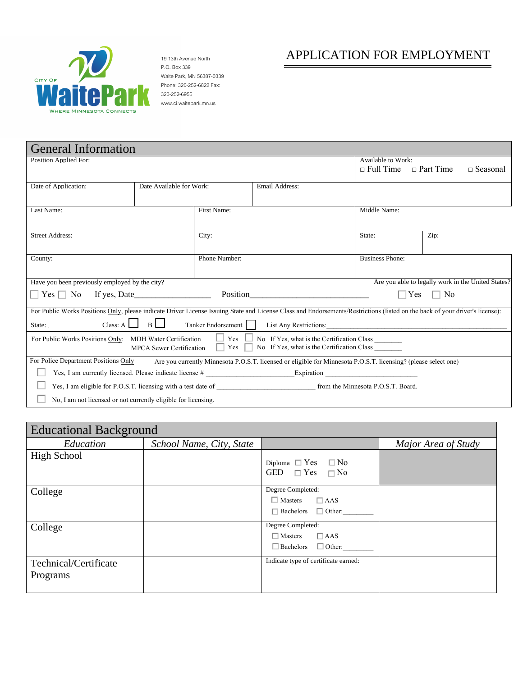

P.O. Box 339 Waite Park, MN 56387-0339 Phone: 320-252-6822 Fax: 320-252-6955 www.ci.waitepark.mn.us

# 19 13th Avenue North **APPLICATION FOR EMPLOYMENT**

| <b>General Information</b>                                                                                                                                                   |                          |                    |                                                                                                                 |                                            |                                                    |
|------------------------------------------------------------------------------------------------------------------------------------------------------------------------------|--------------------------|--------------------|-----------------------------------------------------------------------------------------------------------------|--------------------------------------------|----------------------------------------------------|
| <b>Position Applied For:</b>                                                                                                                                                 |                          |                    |                                                                                                                 | Available to Work:<br>$\Box$ Full Time     | $\Box$ Part Time<br>$\Box$ Seasonal                |
|                                                                                                                                                                              |                          |                    |                                                                                                                 |                                            |                                                    |
| Date of Application:                                                                                                                                                         | Date Available for Work: |                    | Email Address:                                                                                                  |                                            |                                                    |
|                                                                                                                                                                              |                          |                    |                                                                                                                 |                                            |                                                    |
| Last Name:                                                                                                                                                                   |                          | First Name:        |                                                                                                                 | Middle Name:                               |                                                    |
|                                                                                                                                                                              |                          |                    |                                                                                                                 |                                            |                                                    |
| <b>Street Address:</b>                                                                                                                                                       |                          | City:              |                                                                                                                 | State:                                     | Zip:                                               |
|                                                                                                                                                                              |                          |                    |                                                                                                                 |                                            |                                                    |
| County:                                                                                                                                                                      |                          | Phone Number:      |                                                                                                                 | <b>Business Phone:</b>                     |                                                    |
|                                                                                                                                                                              |                          |                    |                                                                                                                 |                                            |                                                    |
| Have you been previously employed by the city?                                                                                                                               |                          |                    |                                                                                                                 |                                            | Are you able to legally work in the United States? |
|                                                                                                                                                                              |                          |                    |                                                                                                                 |                                            | Yes<br>N <sub>0</sub>                              |
| For Public Works Positions Only, please indicate Driver License Issuing State and License Class and Endorsements/Restrictions (listed on the back of your driver's license): |                          |                    |                                                                                                                 |                                            |                                                    |
| State: $\begin{array}{c c}\n\hline\n\end{array}$ Class: A $\begin{array}{ c c c }\n\hline\nB & B\n\end{array}$                                                               |                          | Tanker Endorsement |                                                                                                                 |                                            |                                                    |
| For Public Works Positions Only: MDH Water Certification $\Box$ Yes $\Box$                                                                                                   |                          |                    |                                                                                                                 | No If Yes, what is the Certification Class |                                                    |
|                                                                                                                                                                              |                          |                    | MPCA Sewer Certification $\Box$ Yes $\Box$ No If Yes, what is the Certification Class                           |                                            |                                                    |
| For Police Department Positions Only                                                                                                                                         |                          |                    | Are you currently Minnesota P.O.S.T. licensed or eligible for Minnesota P.O.S.T. licensing? (please select one) |                                            |                                                    |
| Yes, I am currently licensed. Please indicate license # Expiration Expiration Expiration                                                                                     |                          |                    |                                                                                                                 |                                            |                                                    |
|                                                                                                                                                                              |                          |                    |                                                                                                                 |                                            |                                                    |
| No. I am not licensed or not currently eligible for licensing.                                                                                                               |                          |                    |                                                                                                                 |                                            |                                                    |

| <b>Educational Background</b>     |                          |                                                                                     |                     |  |
|-----------------------------------|--------------------------|-------------------------------------------------------------------------------------|---------------------|--|
| Education                         | School Name, City, State |                                                                                     | Major Area of Study |  |
| High School                       |                          | Diploma $\Box$ Yes $\Box$ No<br>GED $\Box$ Yes $\Box$ No                            |                     |  |
| College                           |                          | Degree Completed:<br>$\Box$ Masters $\Box$ AAS<br>$\Box$ Bachelors $\Box$ Other:    |                     |  |
| College                           |                          | Degree Completed:<br>$\Box$ AAS<br>$\Box$ Masters<br>$\Box$ Bachelors $\Box$ Other: |                     |  |
| Technical/Certificate<br>Programs |                          | Indicate type of certificate earned:                                                |                     |  |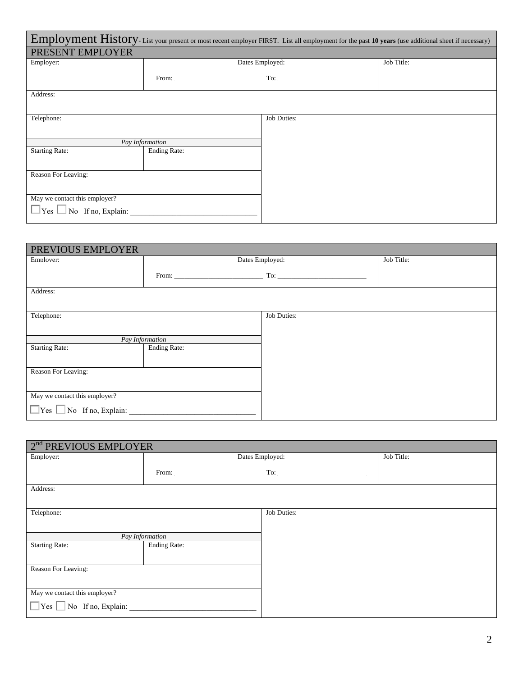| Employment History-List your present or most recent employer FIRST. List all employment for the past 10 years (use additional sheet if necessary) |                                                                                                                                                                                                                                |                    |            |  |
|---------------------------------------------------------------------------------------------------------------------------------------------------|--------------------------------------------------------------------------------------------------------------------------------------------------------------------------------------------------------------------------------|--------------------|------------|--|
| PRESENT EMPLOYER                                                                                                                                  |                                                                                                                                                                                                                                |                    |            |  |
| Employer:                                                                                                                                         |                                                                                                                                                                                                                                | Dates Employed:    | Job Title: |  |
|                                                                                                                                                   | From: The contract of the contract of the contract of the contract of the contract of the contract of the contract of the contract of the contract of the contract of the contract of the contract of the contract of the cont |                    |            |  |
| Address:                                                                                                                                          |                                                                                                                                                                                                                                |                    |            |  |
| Telephone:                                                                                                                                        |                                                                                                                                                                                                                                | <b>Job Duties:</b> |            |  |
|                                                                                                                                                   | Pay Information                                                                                                                                                                                                                |                    |            |  |
| <b>Starting Rate:</b>                                                                                                                             | <b>Ending Rate:</b>                                                                                                                                                                                                            |                    |            |  |
| Reason For Leaving:                                                                                                                               |                                                                                                                                                                                                                                |                    |            |  |
| May we contact this employer?                                                                                                                     |                                                                                                                                                                                                                                |                    |            |  |
|                                                                                                                                                   |                                                                                                                                                                                                                                |                    |            |  |

| PREVIOUS EMPLOYER                    |                                                                                                                                                                                                                                |                 |            |
|--------------------------------------|--------------------------------------------------------------------------------------------------------------------------------------------------------------------------------------------------------------------------------|-----------------|------------|
| Employer:                            |                                                                                                                                                                                                                                | Dates Employed: | Job Title: |
|                                      | From: The contract of the contract of the contract of the contract of the contract of the contract of the contract of the contract of the contract of the contract of the contract of the contract of the contract of the cont |                 |            |
| Address:                             |                                                                                                                                                                                                                                |                 |            |
| Telephone:                           |                                                                                                                                                                                                                                | Job Duties:     |            |
|                                      | Pay Information                                                                                                                                                                                                                |                 |            |
| <b>Starting Rate:</b>                | <b>Ending Rate:</b>                                                                                                                                                                                                            |                 |            |
| Reason For Leaving:                  |                                                                                                                                                                                                                                |                 |            |
| May we contact this employer?        |                                                                                                                                                                                                                                |                 |            |
| $\Box$ Yes $\Box$ No If no, Explain: |                                                                                                                                                                                                                                |                 |            |

| Job Title:                                                                                                                                                                                                                     |
|--------------------------------------------------------------------------------------------------------------------------------------------------------------------------------------------------------------------------------|
| To: the contract of the contract of the contract of the contract of the contract of the contract of the contract of the contract of the contract of the contract of the contract of the contract of the contract of the contra |
|                                                                                                                                                                                                                                |
|                                                                                                                                                                                                                                |
|                                                                                                                                                                                                                                |
|                                                                                                                                                                                                                                |
|                                                                                                                                                                                                                                |
|                                                                                                                                                                                                                                |
|                                                                                                                                                                                                                                |
|                                                                                                                                                                                                                                |
|                                                                                                                                                                                                                                |
|                                                                                                                                                                                                                                |
|                                                                                                                                                                                                                                |
|                                                                                                                                                                                                                                |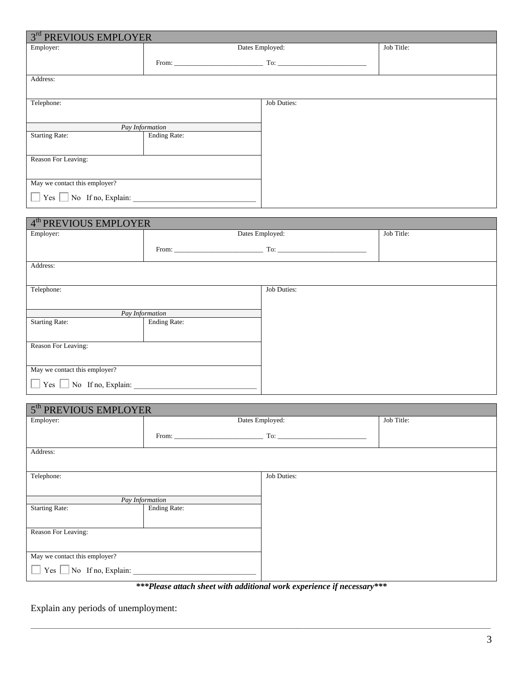| 3rd PREVIOUS EMPLOYER         |                 |                    |            |
|-------------------------------|-----------------|--------------------|------------|
| Employer:                     |                 | Dates Employed:    | Job Title: |
|                               |                 |                    |            |
| Address:                      |                 |                    |            |
|                               |                 |                    |            |
| Telephone:                    |                 | <b>Job Duties:</b> |            |
|                               |                 |                    |            |
|                               | Pay Information |                    |            |
| <b>Starting Rate:</b>         | Ending Rate:    |                    |            |
|                               |                 |                    |            |
| Reason For Leaving:           |                 |                    |            |
|                               |                 |                    |            |
| May we contact this employer? |                 |                    |            |
| $Yes \tNo$ If no, Explain:    |                 |                    |            |

| 4 <sup>th</sup> PREVIOUS EMPLOYER           |                 |                                                                                                                                                                                                                                                                                                                                                                         |            |
|---------------------------------------------|-----------------|-------------------------------------------------------------------------------------------------------------------------------------------------------------------------------------------------------------------------------------------------------------------------------------------------------------------------------------------------------------------------|------------|
| Employer:                                   |                 | Dates Employed:                                                                                                                                                                                                                                                                                                                                                         | Job Title: |
|                                             |                 | $To:$ $\qquad \qquad$ $\qquad \qquad$ $\qquad \qquad$ $\qquad \qquad$ $\qquad \qquad$ $\qquad \qquad$ $\qquad \qquad$ $\qquad \qquad$ $\qquad \qquad$ $\qquad \qquad$ $\qquad \qquad$ $\qquad \qquad$ $\qquad$ $\qquad$ $\qquad$ $\qquad$ $\qquad$ $\qquad$ $\qquad$ $\qquad$ $\qquad$ $\qquad$ $\qquad$ $\qquad$ $\qquad$ $\qquad$ $\qquad$ $\qquad$ $\qquad$ $\qquad$ |            |
| Address:                                    |                 |                                                                                                                                                                                                                                                                                                                                                                         |            |
|                                             |                 |                                                                                                                                                                                                                                                                                                                                                                         |            |
| Telephone:                                  |                 | <b>Job Duties:</b>                                                                                                                                                                                                                                                                                                                                                      |            |
|                                             |                 |                                                                                                                                                                                                                                                                                                                                                                         |            |
|                                             | Pay Information |                                                                                                                                                                                                                                                                                                                                                                         |            |
| <b>Starting Rate:</b>                       | Ending Rate:    |                                                                                                                                                                                                                                                                                                                                                                         |            |
|                                             |                 |                                                                                                                                                                                                                                                                                                                                                                         |            |
| Reason For Leaving:                         |                 |                                                                                                                                                                                                                                                                                                                                                                         |            |
|                                             |                 |                                                                                                                                                                                                                                                                                                                                                                         |            |
| May we contact this employer?               |                 |                                                                                                                                                                                                                                                                                                                                                                         |            |
| $\Box$ Yes $\Box$ No If no, Explain: $\Box$ |                 |                                                                                                                                                                                                                                                                                                                                                                         |            |

| 5 <sup>th</sup> PREVIOUS EMPLOYER |                                                                                                                                                                                                                                |                                                                                                                                                                                                                                                                                                                                                                         |            |
|-----------------------------------|--------------------------------------------------------------------------------------------------------------------------------------------------------------------------------------------------------------------------------|-------------------------------------------------------------------------------------------------------------------------------------------------------------------------------------------------------------------------------------------------------------------------------------------------------------------------------------------------------------------------|------------|
| Employer:                         |                                                                                                                                                                                                                                | Dates Employed:                                                                                                                                                                                                                                                                                                                                                         | Job Title: |
|                                   | From: North Commission of the Commission of the Commission of the Commission of the Commission of the Commission of the Commission of the Commission of the Commission of the Commission of the Commission of the Commission o | $To:$ $\qquad \qquad$ $\qquad \qquad$ $\qquad \qquad$ $\qquad \qquad$ $\qquad \qquad$ $\qquad \qquad$ $\qquad \qquad$ $\qquad \qquad$ $\qquad \qquad$ $\qquad \qquad$ $\qquad \qquad$ $\qquad \qquad$ $\qquad$ $\qquad$ $\qquad$ $\qquad$ $\qquad$ $\qquad$ $\qquad$ $\qquad$ $\qquad$ $\qquad$ $\qquad$ $\qquad$ $\qquad$ $\qquad$ $\qquad$ $\qquad$ $\qquad$ $\qquad$ |            |
| Address:                          |                                                                                                                                                                                                                                |                                                                                                                                                                                                                                                                                                                                                                         |            |
|                                   |                                                                                                                                                                                                                                |                                                                                                                                                                                                                                                                                                                                                                         |            |
| Telephone:                        |                                                                                                                                                                                                                                | Job Duties:                                                                                                                                                                                                                                                                                                                                                             |            |
|                                   |                                                                                                                                                                                                                                |                                                                                                                                                                                                                                                                                                                                                                         |            |
|                                   | Pay Information                                                                                                                                                                                                                |                                                                                                                                                                                                                                                                                                                                                                         |            |
| <b>Starting Rate:</b>             | Ending Rate:                                                                                                                                                                                                                   |                                                                                                                                                                                                                                                                                                                                                                         |            |
|                                   |                                                                                                                                                                                                                                |                                                                                                                                                                                                                                                                                                                                                                         |            |
| Reason For Leaving:               |                                                                                                                                                                                                                                |                                                                                                                                                                                                                                                                                                                                                                         |            |
|                                   |                                                                                                                                                                                                                                |                                                                                                                                                                                                                                                                                                                                                                         |            |
| May we contact this employer?     |                                                                                                                                                                                                                                |                                                                                                                                                                                                                                                                                                                                                                         |            |
| $Yes \t No$ If no, Explain:       |                                                                                                                                                                                                                                |                                                                                                                                                                                                                                                                                                                                                                         |            |

*\*\*\*Please attach sheet with additional work experience if necessary\*\*\** 

Explain any periods of unemployment: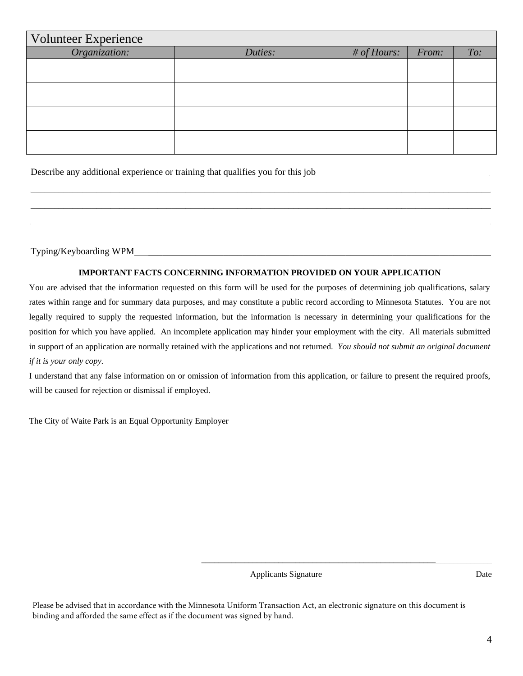| <b>Volunteer Experience</b> |         |             |       |     |
|-----------------------------|---------|-------------|-------|-----|
| Organization:               | Duties: | # of Hours: | From: | To: |
|                             |         |             |       |     |
|                             |         |             |       |     |
|                             |         |             |       |     |
|                             |         |             |       |     |
|                             |         |             |       |     |
|                             |         |             |       |     |
|                             |         |             |       |     |
|                             |         |             |       |     |

Describe any additional experience or training that qualifies you for this job

Typing/Keyboarding WPM\_\_\_**\_\_\_\_\_\_\_\_\_\_\_\_\_\_\_\_\_\_\_\_\_\_\_\_\_\_\_\_\_\_\_\_\_\_\_\_\_\_\_\_\_\_\_\_\_\_\_\_\_\_\_\_\_\_\_\_\_\_\_\_\_\_\_\_\_\_\_\_\_\_\_\_\_**

#### **IMPORTANT FACTS CONCERNING INFORMATION PROVIDED ON YOUR APPLICATION**

 $\_$  , and the set of the set of the set of the set of the set of the set of the set of the set of the set of the set of the set of the set of the set of the set of the set of the set of the set of the set of the set of th \_\_\_\_\_\_\_\_\_\_\_\_\_\_\_\_\_\_\_\_\_\_\_\_\_\_\_\_\_\_\_\_\_\_\_\_\_\_\_\_\_\_\_\_\_\_\_\_\_\_\_\_\_\_\_\_\_\_\_\_\_\_\_\_\_\_\_\_\_\_\_\_\_\_\_\_\_\_\_\_\_\_\_\_\_\_\_\_\_\_\_\_\_\_\_\_\_\_  $\_$  ,  $\_$  ,  $\_$  ,  $\_$  ,  $\_$  ,  $\_$  ,  $\_$  ,  $\_$  ,  $\_$  ,  $\_$  ,  $\_$  ,  $\_$  ,  $\_$  ,  $\_$  ,  $\_$  ,  $\_$  ,  $\_$  ,  $\_$  ,  $\_$  ,  $\_$  ,  $\_$  ,  $\_$  ,  $\_$  ,  $\_$  ,  $\_$  ,  $\_$  ,  $\_$  ,  $\_$  ,  $\_$  ,  $\_$  ,  $\_$  ,  $\_$  ,  $\_$  ,  $\_$  ,  $\_$  ,  $\_$  ,  $\_$  ,

You are advised that the information requested on this form will be used for the purposes of determining job qualifications, salary rates within range and for summary data purposes, and may constitute a public record according to Minnesota Statutes. You are not legally required to supply the requested information, but the information is necessary in determining your qualifications for the position for which you have applied. An incomplete application may hinder your employment with the city. All materials submitted in support of an application are normally retained with the applications and not returned. *You should not submit an original document if it is your only copy.* 

I understand that any false information on or omission of information from this application, or failure to present the required proofs, will be caused for rejection or dismissal if employed.

The City of Waite Park is an Equal Opportunity Employer

Applicants Signature Date

\_\_\_\_\_\_\_\_\_\_\_\_\_\_\_\_\_\_\_\_\_\_\_\_\_\_\_\_\_\_\_\_\_\_\_\_\_\_\_\_\_\_\_\_\_\_\_\_\_\_\_\_\_\_\_\_\_\_\_\_\_\_\_\_\_\_\_\_

Please be advised that in accordance with the Minnesota Uniform Transaction Act, an electronic signature on this document is binding and afforded the same effect as if the document was signed by hand.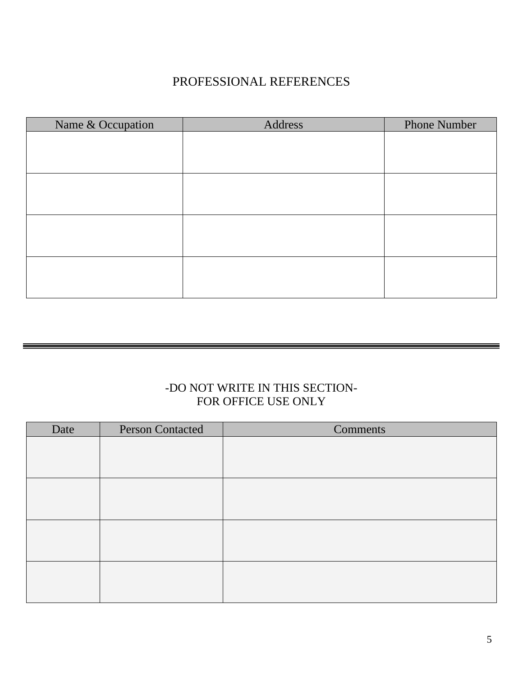## PROFESSIONAL REFERENCES

| Address | <b>Phone Number</b> |
|---------|---------------------|
|         |                     |
|         |                     |
|         |                     |
|         |                     |
|         |                     |
|         |                     |
|         |                     |
|         |                     |
|         |                     |
|         |                     |
|         |                     |
|         |                     |
|         |                     |

### -DO NOT WRITE IN THIS SECTION-FOR OFFICE USE ONLY

| Date | <b>Person Contacted</b> | <b>Comments</b> |
|------|-------------------------|-----------------|
|      |                         |                 |
|      |                         |                 |
|      |                         |                 |
|      |                         |                 |
|      |                         |                 |
|      |                         |                 |
|      |                         |                 |
|      |                         |                 |
|      |                         |                 |
|      |                         |                 |
|      |                         |                 |
|      |                         |                 |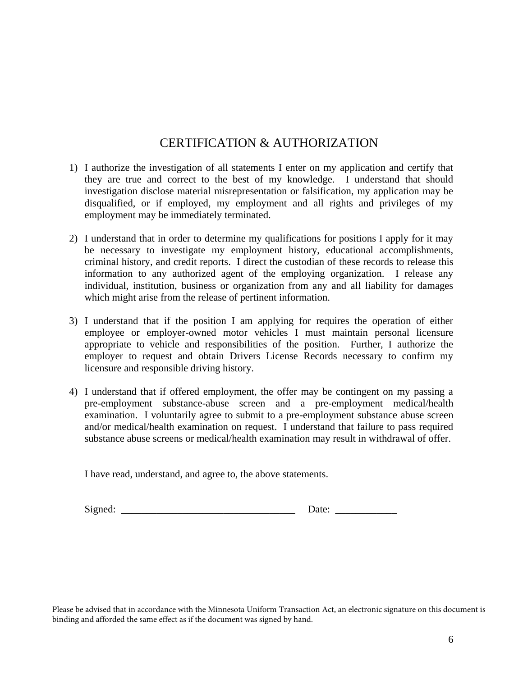#### CERTIFICATION & AUTHORIZATION

- 1) I authorize the investigation of all statements I enter on my application and certify that they are true and correct to the best of my knowledge. I understand that should investigation disclose material misrepresentation or falsification, my application may be disqualified, or if employed, my employment and all rights and privileges of my employment may be immediately terminated.
- 2) I understand that in order to determine my qualifications for positions I apply for it may be necessary to investigate my employment history, educational accomplishments, criminal history, and credit reports. I direct the custodian of these records to release this information to any authorized agent of the employing organization. I release any individual, institution, business or organization from any and all liability for damages which might arise from the release of pertinent information.
- 3) I understand that if the position I am applying for requires the operation of either employee or employer-owned motor vehicles I must maintain personal licensure appropriate to vehicle and responsibilities of the position. Further, I authorize the employer to request and obtain Drivers License Records necessary to confirm my licensure and responsible driving history.
- 4) I understand that if offered employment, the offer may be contingent on my passing a pre-employment substance-abuse screen and a pre-employment medical/health examination. I voluntarily agree to submit to a pre-employment substance abuse screen and/or medical/health examination on request. I understand that failure to pass required substance abuse screens or medical/health examination may result in withdrawal of offer.

I have read, understand, and agree to, the above statements.

Signed:  $\Box$ 

Please be advised that in accordance with the Minnesota Uniform Transaction Act, an electronic signature on this document is binding and afforded the same effect as if the document was signed by hand.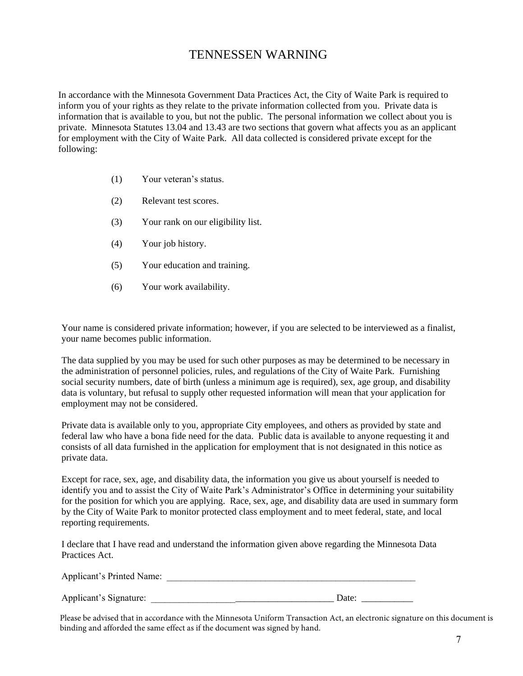#### TENNESSEN WARNING

In accordance with the Minnesota Government Data Practices Act, the City of Waite Park is required to inform you of your rights as they relate to the private information collected from you. Private data is information that is available to you, but not the public. The personal information we collect about you is private. Minnesota Statutes 13.04 and 13.43 are two sections that govern what affects you as an applicant for employment with the City of Waite Park. All data collected is considered private except for the following:

- (1) Your veteran's status.
- (2) Relevant test scores.
- (3) Your rank on our eligibility list.
- (4) Your job history.
- (5) Your education and training.
- (6) Your work availability.

Your name is considered private information; however, if you are selected to be interviewed as a finalist, your name becomes public information.

The data supplied by you may be used for such other purposes as may be determined to be necessary in the administration of personnel policies, rules, and regulations of the City of Waite Park. Furnishing social security numbers, date of birth (unless a minimum age is required), sex, age group, and disability data is voluntary, but refusal to supply other requested information will mean that your application for employment may not be considered.

Private data is available only to you, appropriate City employees, and others as provided by state and federal law who have a bona fide need for the data. Public data is available to anyone requesting it and consists of all data furnished in the application for employment that is not designated in this notice as private data.

Except for race, sex, age, and disability data, the information you give us about yourself is needed to identify you and to assist the City of Waite Park's Administrator's Office in determining your suitability for the position for which you are applying. Race, sex, age, and disability data are used in summary form by the City of Waite Park to monitor protected class employment and to meet federal, state, and local reporting requirements.

I declare that I have read and understand the information given above regarding the Minnesota Data Practices Act.

| Applicant's Printed Name: |  |
|---------------------------|--|
|                           |  |

Applicant's Signature:  $\Box$ 

Please be advised that in accordance with the Minnesota Uniform Transaction Act, an electronic signature on this document is binding and afforded the same effect as if the document was signed by hand.